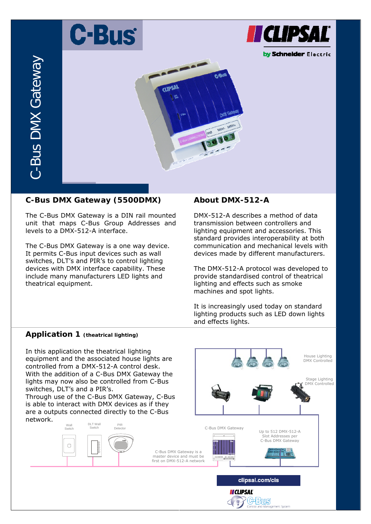# **C-Bus**



by Schneider Electric



# **C-Bus DMX Gateway (5500DMX)**

The C-Bus DMX Gateway is a DIN rail mounted unit that maps C-Bus Group Addresses and levels to a DMX-512-A interface.

The C-Bus DMX Gateway is a one way device. It permits C-Bus input devices such as wall switches, DLT's and PIR's to control lighting devices with DMX interface capability. These include many manufacturers LED lights and theatrical equipment.

# **About DMX-512-A**

DMX-512-A describes a method of data transmission between controllers and lighting equipment and accessories. This standard provides interoperability at both communication and mechanical levels with devices made by different manufacturers.

The DMX-512-A protocol was developed to provide standardised control of theatrical lighting and effects such as smoke machines and spot lights.

It is increasingly used today on standard lighting products such as LED down lights and effects lights.

> Stage Lighting DMX Controlled

House Lighting DMX Controlled

## **Application 1 (theatrical lighting)**

In this application the theatrical lighting equipment and the associated house lights are controlled from a DMX-512-A control desk. With the addition of a C-Bus DMX Gateway the lights may now also be controlled from C-Bus switches, DLT's and a PIR's.

Through use of the C-Bus DMX Gateway, C-Bus is able to interact with DMX devices as if they are a outputs connected directly to the C-Bus network.

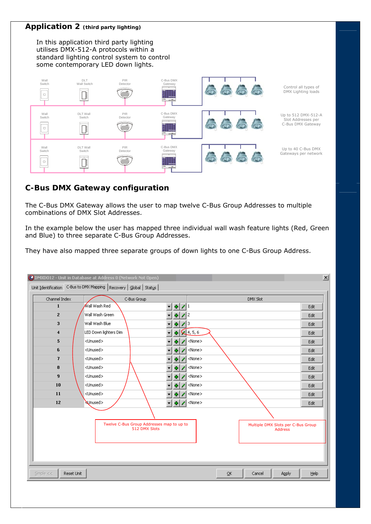#### **Application 2 (third party lighting)**

In this application third party lighting utilises DMX-512-A protocols within a standard lighting control system to control some contemporary LED down lights.



## **C-Bus DMX Gateway configuration**

The C-Bus DMX Gateway allows the user to map twelve C-Bus Group Addresses to multiple combinations of DMX Slot Addresses.

In the example below the user has mapped three individual wall wash feature lights (Red, Green and Blue) to three separate C-Bus Group Addresses.

They have also mapped three separate groups of down lights to one C-Bus Group Address.

| Channel Index           | Unit Identification C-Bus to DMX Mapping   Recovery   Global   Status  <br>C-Bus Group |                                                                              | DMX Slot                                             |      |
|-------------------------|----------------------------------------------------------------------------------------|------------------------------------------------------------------------------|------------------------------------------------------|------|
| $\mathbf{1}$            | ∕Wall Wash Red                                                                         | 취<br>$\overline{\mathscr{L}}$<br>l 1<br>$\blacktriangledown$                 |                                                      | Edit |
| $\mathbf{z}$            | Wall Wash Green                                                                        | 12<br>÷<br>▼                                                                 |                                                      | Edit |
| 3                       | Wall Wash Blue                                                                         | 13<br>÷<br>▼                                                                 |                                                      | Edit |
| $\overline{\bf{4}}$     | LED Down lighters Dim                                                                  | 4, 5, 6<br>۰                                                                 |                                                      | Edit |
| 5                       | <unused></unused>                                                                      | <none><br/>۰</none>                                                          |                                                      | Edit |
| 6                       | <unused></unused>                                                                      | <none></none>                                                                |                                                      | Edit |
| $\overline{t}$          | <unused></unused>                                                                      | <none><br/>۰</none>                                                          |                                                      | Edit |
| 8                       | <unused></unused>                                                                      | <none><br/>÷</none>                                                          |                                                      | Edit |
| 9                       | <unused></unused>                                                                      | <none><br/>۰</none>                                                          |                                                      | Edit |
| 10                      | <unused></unused>                                                                      | <none><br/>۰</none>                                                          |                                                      | Edit |
| 11                      | <unused></unused>                                                                      | <none><br/>۰</none>                                                          |                                                      | Edit |
| 12                      | Unused>                                                                                | <none><br/><math display="inline">\overline{\phantom{a}}</math><br/>÷</none> |                                                      | Edit |
|                         |                                                                                        |                                                                              |                                                      |      |
|                         | Twelve C-Bus Group Addresses map to up to<br>512 DMX Slots                             |                                                                              | Multiple DMX Slots per C-Bus Group<br><b>Address</b> |      |
| Reset Unit<br>Simple << |                                                                                        |                                                                              | $\overline{\mathsf{O}}\mathsf{K}$<br>Cancel<br>Apply | Help |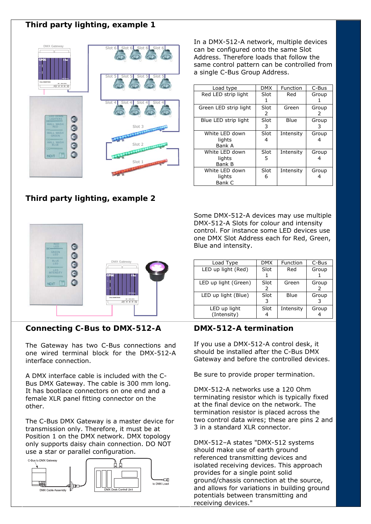# **Third party lighting, example 1**



# **Third party lighting, example 2**



## **Connecting C-Bus to DMX-512-A**

The Gateway has two C-Bus connections and 2 one wired terminal block for the DMX-512-A interface connection.

A DMX interface cable is included with the C-Bus DMX Gateway. The cable is 300 mm long. It has bootlace connectors on one end and a female XLR panel fitting connector on the other.

The C-Bus DMX Gateway is a master device for transmission only. Therefore, it must be at Position 1 on the DMX network. DMX topology only supports daisy chain connection. DO NOT use a star or parallel configuration.



In a DMX-512-A network, multiple devices can be configured onto the same Slot Address. Therefore loads that follow the same control pattern can be controlled from a single C-Bus Group Address.

| Load type                                 | <b>DMX</b> | Function  | C-Bus      |
|-------------------------------------------|------------|-----------|------------|
| Red LED strip light                       | Slot       | Red       | Group      |
| Green LED strip light                     | Slot<br>2  | Green     | Group<br>2 |
| Blue LED strip light                      | Slot<br>3  | Blue      | Group<br>3 |
| White LED down<br>lights<br>Bank A        | Slot<br>4  | Intensity | Group      |
| White LED down<br>lights<br><b>Bank B</b> | Slot<br>5  | Intensity | Group      |
| White LED down<br>lights<br>Bank C        | Slot<br>6  | Intensity | Group      |

Some DMX-512-A devices may use multiple DMX-512-A Slots for colour and intensity control. For instance some LED devices use one DMX Slot Address each for Red, Green, Blue and intensity.

| Load Type                   | <b>DMX</b> | Function  | C-Bus |
|-----------------------------|------------|-----------|-------|
| LED up light (Red)          | Slot       | Red       | Group |
| LED up light (Green)        | Slot<br>2  | Green     | Group |
| LED up light (Blue)         | Slot       | Blue      | Group |
| LED up light<br>(Intensity) | Slot       | Intensity | Group |

#### **DMX-512-A termination**

If you use a DMX-512-A control desk, it should be installed after the C-Bus DMX Gateway and before the controlled devices.

Be sure to provide proper termination.

DMX-512-A networks use a 120 Ohm terminating resistor which is typically fixed at the final device on the network. The termination resistor is placed across the two control data wires; these are pins 2 and 3 in a standard XLR connector.

DMX-512–A states "DMX-512 systems should make use of earth ground referenced transmitting devices and isolated receiving devices. This approach provides for a single point solid ground/chassis connection at the source, and allows for variations in building ground potentials between transmitting and receiving devices."